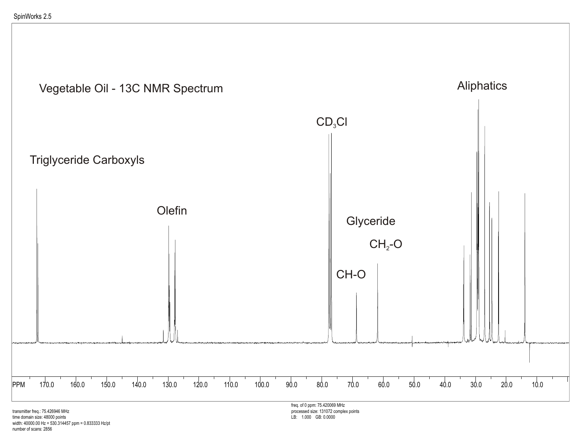

transmitter freq.: 75.426946 MHz time domain size: 48000 points width: 40000.00 Hz = 530.314457 ppm = 0.833333 Hz/pt number of scans: 2856

processed size: 131072 complex points LB: 1.000 GB: 0.0000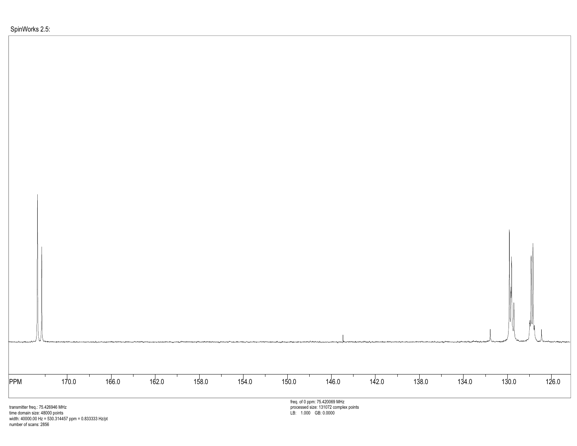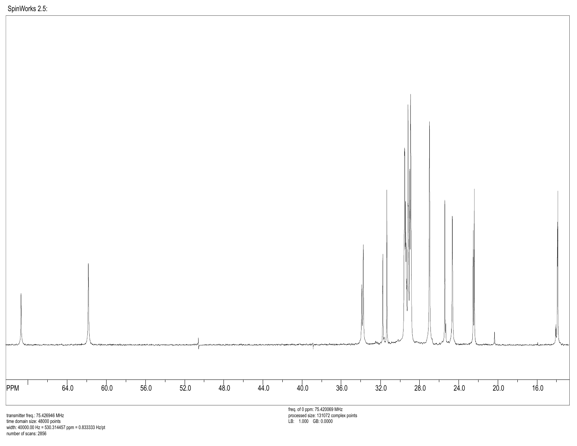

time domain size: 48000 points width: 40000.00 Hz = 530.314457 ppm = 0.833333 Hz/pt number of scans: 2856

LB: 1.000 GB: 0.0000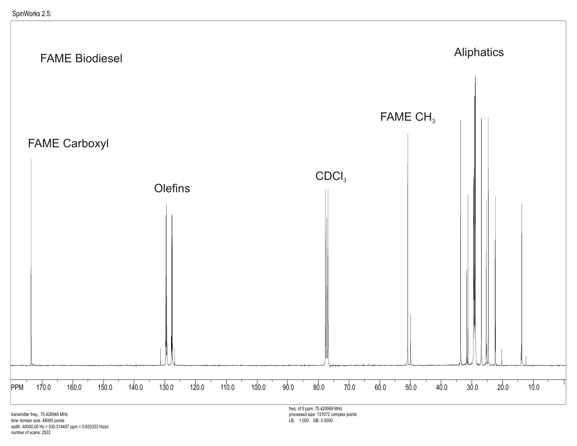

transmitter freq.: 75.426946 MHz time domain size: 48000 points width: 40000.00 Hz = 530.314457 ppm = 0.833333 Hz/pt number of scans: 2532

freq. of 0 ppm: 75.420069 MHz processed size: 131072 complex points LB: 1.000 GB: 0.0000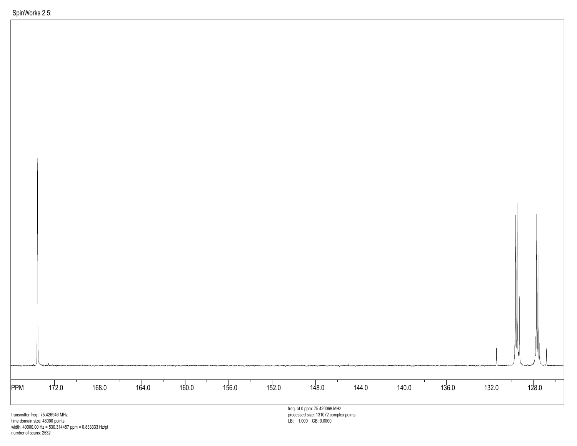